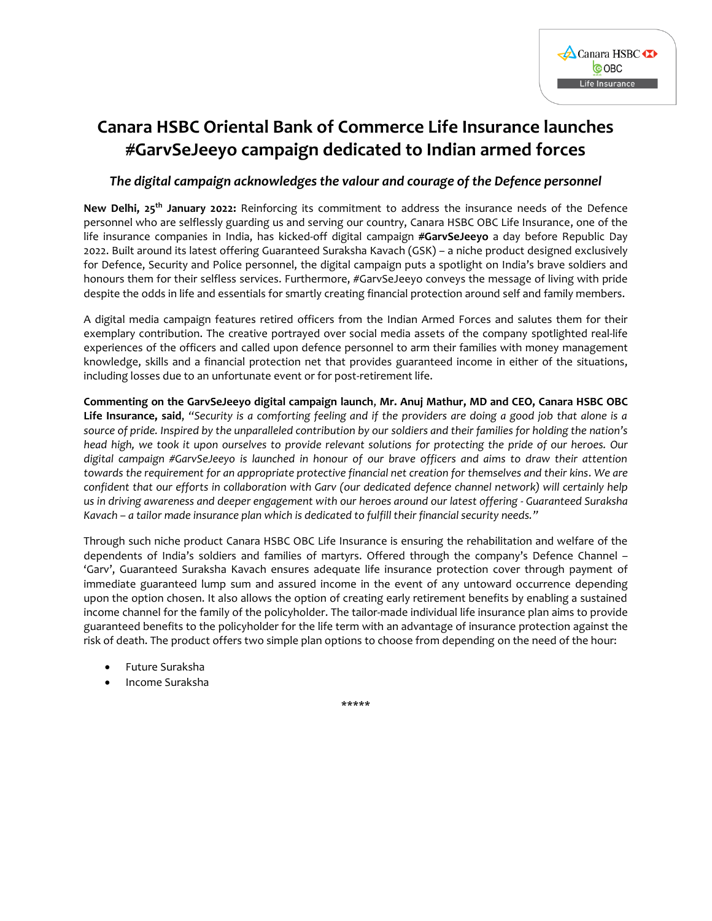

## **Canara HSBC Oriental Bank of Commerce Life Insurance launches #GarvSeJeeyo campaign dedicated to Indian armed forces**

## *The digital campaign acknowledges the valour and courage of the Defence personnel*

**New Delhi, 25th January 2022:** Reinforcing its commitment to address the insurance needs of the Defence personnel who are selflessly guarding us and serving our country, Canara HSBC OBC Life Insurance, one of the life insurance companies in India, has kicked-off digital campaign **#GarvSeJeeyo** a day before Republic Day 2022. Built around its latest offering Guaranteed Suraksha Kavach (GSK) – a niche product designed exclusively for Defence, Security and Police personnel, the digital campaign puts a spotlight on India's brave soldiers and honours them for their selfless services. Furthermore, #GarvSeJeeyo conveys the message of living with pride despite the odds in life and essentials for smartly creating financial protection around self and family members.

A digital media campaign features retired officers from the Indian Armed Forces and salutes them for their exemplary contribution. The creative portrayed over social media assets of the company spotlighted real-life experiences of the officers and called upon defence personnel to arm their families with money management knowledge, skills and a financial protection net that provides guaranteed income in either of the situations, including losses due to an unfortunate event or for post-retirement life.

**Commenting on the GarvSeJeeyo digital campaign launch**, **Mr. Anuj Mathur, MD and CEO, Canara HSBC OBC Life Insurance, said**, *"Security is a comforting feeling and if the providers are doing a good job that alone is a source of pride. Inspired by the unparalleled contribution by our soldiers and their families for holding the nation's head high, we took it upon ourselves to provide relevant solutions for protecting the pride of our heroes. Our digital campaign #GarvSeJeeyo is launched in honour of our brave officers and aims to draw their attention towards the requirement for an appropriate protective financial net creation for themselves and their kins. We are confident that our efforts in collaboration with Garv (our dedicated defence channel network) will certainly help us in driving awareness and deeper engagement with our heroes around our latest offering - Guaranteed Suraksha Kavach – a tailor made insurance plan which is dedicated to fulfill their financial security needs."*

Through such niche product Canara HSBC OBC Life Insurance is ensuring the rehabilitation and welfare of the dependents of India's soldiers and families of martyrs. Offered through the company's Defence Channel – 'Garv', Guaranteed Suraksha Kavach ensures adequate life insurance protection cover through payment of immediate guaranteed lump sum and assured income in the event of any untoward occurrence depending upon the option chosen. It also allows the option of creating early retirement benefits by enabling a sustained income channel for the family of the policyholder. The tailor-made individual life insurance plan aims to provide guaranteed benefits to the policyholder for the life term with an advantage of insurance protection against the risk of death. The product offers two simple plan options to choose from depending on the need of the hour:

- Future Suraksha
- Income Suraksha

\*\*\*\*\*